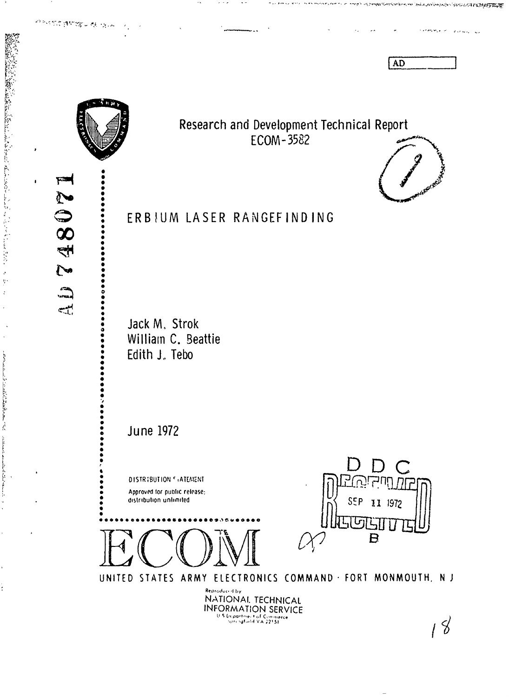AD

mi nun vermen son had **ri bi program** 

**Robert College** 

Surveyor and



 $\tilde{\bullet}$ 

 $\mathcal{A}_1$ 

经未经付出的收益 化二氯

48071

 $\tilde{C}$ 

بالات<br>Saraha

المبسع

## Research and Development Technical Report ECOM-3582



 $\frac{1}{2}$ 

 $\ddot{\xi}$ 

Service of the state of the same

collaboration of the distribution of the collaboration

 $\ddot{\cdot}$ 

# ERBIUM LASER RANGEFINDING

Jack M. Strok William C. Beattie Edith J. Tebo

**June 1972** 

DISTRIBUTION FIATEMENT Approved for public release; distribution unlimited





UNITED STATES ARMY ELECTRONICS COMMAND . FORT MONMOUTH, NJ

Reproduced by NATIONAI. TECHNICAL **INFORMATION SERVICE** 

 $18$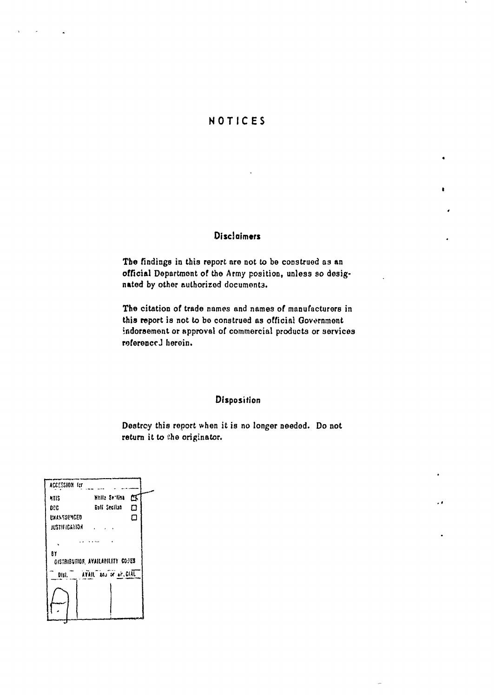## NOTICES

×

 $\cdot$   $\cdot$ 

## **Disclaimers**

The findings in this report are not to be construed as an official Department of the Army position, unless so designated by other authorized documents.

The citation of trade names and names of manufacturers in this report is not to be construed as official Government indorsement or approval of commercial products or services referenced herein.

## Disposition

Destroy this report when it is no longer needed. Do not return it to the originator.

| ACCESSION for                         |                            |   |
|---------------------------------------|----------------------------|---|
| ATIS                                  | White Softica              | σ |
| 00C                                   | Euli Secilua               | ۵ |
| <b>UXANSOPAGED</b>                    |                            | о |
| <b>RESTIFICATION</b>                  |                            |   |
|                                       |                            |   |
| 87<br>OISTRIBUTION AVAILABILITY COPES |                            |   |
|                                       | Dist. AVAIL and or arcGIAL |   |
|                                       |                            |   |
|                                       |                            |   |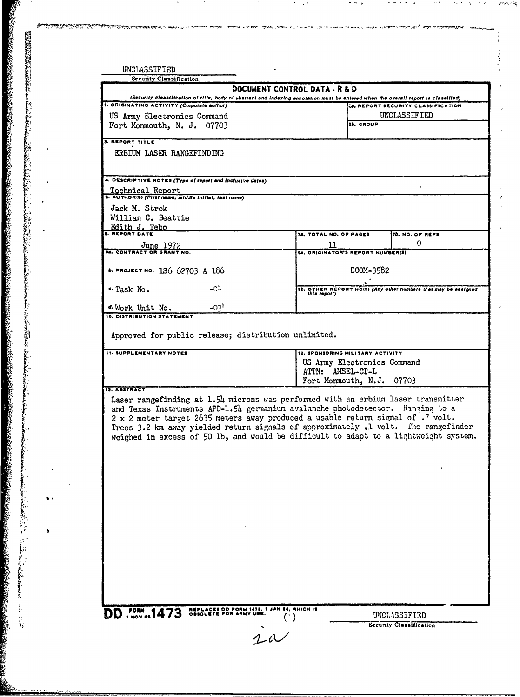| (Security classification of title, body of abstract and indexing ennotation must be entered when the overall report is classified)<br>1. ORIGINATING ACTIVITY (Corporate author)<br>Le. REPORT SECURITY CLASSIFICATION<br>UNCLASSIFIED<br>US Army Electronics Command<br>2b, GROUP<br>Fort Monmouth, N. J. 07703<br><b>3. REPORT TITLE</b><br>ERBIUM LASER RANGEFINDING<br>4. DESCRIPTIVE NOTES (Type of report and inclusive dates)<br><u>Technical Report</u><br>5. AUTHOR(S) (First name, silddle initial, last name)<br>Jack M. Strok<br>William C. Beattie<br>Edith J. Tebo<br>78. TOTAL NO. OF PAGES<br><b>7b. NO. OF REFS</b><br>$\Omega$<br>11<br>$J$ une 1972<br>94. ORIGINATOR'S REPORT NUMBER(S)<br>ECOM-3582<br>b. PROJECT NO. 1S6 62703 A 186<br>$-C$ .<br>c. Task No.<br>9b. OTHER REPORT NOISI (Any other numbers that may be assigned<br>this report)<br>$-031$<br>d Work Unit No.<br>10. DISTRIBUTION STATEMENT<br>Approved for public release; distribution unlimited.<br><b>11. SUPPLEMENTARY NOTES</b><br>12. SPONSORING MILITARY ACTIVITY<br>US Army Electronics Command<br>ATTN: AMSEL-CT-L<br>Fort Monmouth, N.J. 07703<br>19. ABSTRACT<br>Laser rangefinding at 1.54 microns was performed with an erbium laser transmitter<br>and Texas Instruments APD-1.54 germanium avalanche photodetector. Banzing to a<br>2 x 2 meter target 2635 meters away produced a usable return signal of .7 volt.<br>Trees 3.2 km away yielded return signals of approximately .1 volt. The rangefinder<br>weighed in excess of 50 lb, and would be difficult to adapt to a lightweight system. | DOCUMENT CONTROL DATA - R & D |  |
|--------------------------------------------------------------------------------------------------------------------------------------------------------------------------------------------------------------------------------------------------------------------------------------------------------------------------------------------------------------------------------------------------------------------------------------------------------------------------------------------------------------------------------------------------------------------------------------------------------------------------------------------------------------------------------------------------------------------------------------------------------------------------------------------------------------------------------------------------------------------------------------------------------------------------------------------------------------------------------------------------------------------------------------------------------------------------------------------------------------------------------------------------------------------------------------------------------------------------------------------------------------------------------------------------------------------------------------------------------------------------------------------------------------------------------------------------------------------------------------------------------------------------------------------------------------------------------------------------------|-------------------------------|--|
|                                                                                                                                                                                                                                                                                                                                                                                                                                                                                                                                                                                                                                                                                                                                                                                                                                                                                                                                                                                                                                                                                                                                                                                                                                                                                                                                                                                                                                                                                                                                                                                                        |                               |  |
|                                                                                                                                                                                                                                                                                                                                                                                                                                                                                                                                                                                                                                                                                                                                                                                                                                                                                                                                                                                                                                                                                                                                                                                                                                                                                                                                                                                                                                                                                                                                                                                                        |                               |  |
|                                                                                                                                                                                                                                                                                                                                                                                                                                                                                                                                                                                                                                                                                                                                                                                                                                                                                                                                                                                                                                                                                                                                                                                                                                                                                                                                                                                                                                                                                                                                                                                                        |                               |  |
|                                                                                                                                                                                                                                                                                                                                                                                                                                                                                                                                                                                                                                                                                                                                                                                                                                                                                                                                                                                                                                                                                                                                                                                                                                                                                                                                                                                                                                                                                                                                                                                                        |                               |  |
|                                                                                                                                                                                                                                                                                                                                                                                                                                                                                                                                                                                                                                                                                                                                                                                                                                                                                                                                                                                                                                                                                                                                                                                                                                                                                                                                                                                                                                                                                                                                                                                                        |                               |  |
|                                                                                                                                                                                                                                                                                                                                                                                                                                                                                                                                                                                                                                                                                                                                                                                                                                                                                                                                                                                                                                                                                                                                                                                                                                                                                                                                                                                                                                                                                                                                                                                                        |                               |  |
|                                                                                                                                                                                                                                                                                                                                                                                                                                                                                                                                                                                                                                                                                                                                                                                                                                                                                                                                                                                                                                                                                                                                                                                                                                                                                                                                                                                                                                                                                                                                                                                                        |                               |  |
|                                                                                                                                                                                                                                                                                                                                                                                                                                                                                                                                                                                                                                                                                                                                                                                                                                                                                                                                                                                                                                                                                                                                                                                                                                                                                                                                                                                                                                                                                                                                                                                                        |                               |  |
|                                                                                                                                                                                                                                                                                                                                                                                                                                                                                                                                                                                                                                                                                                                                                                                                                                                                                                                                                                                                                                                                                                                                                                                                                                                                                                                                                                                                                                                                                                                                                                                                        |                               |  |
|                                                                                                                                                                                                                                                                                                                                                                                                                                                                                                                                                                                                                                                                                                                                                                                                                                                                                                                                                                                                                                                                                                                                                                                                                                                                                                                                                                                                                                                                                                                                                                                                        |                               |  |
|                                                                                                                                                                                                                                                                                                                                                                                                                                                                                                                                                                                                                                                                                                                                                                                                                                                                                                                                                                                                                                                                                                                                                                                                                                                                                                                                                                                                                                                                                                                                                                                                        |                               |  |
|                                                                                                                                                                                                                                                                                                                                                                                                                                                                                                                                                                                                                                                                                                                                                                                                                                                                                                                                                                                                                                                                                                                                                                                                                                                                                                                                                                                                                                                                                                                                                                                                        |                               |  |
|                                                                                                                                                                                                                                                                                                                                                                                                                                                                                                                                                                                                                                                                                                                                                                                                                                                                                                                                                                                                                                                                                                                                                                                                                                                                                                                                                                                                                                                                                                                                                                                                        |                               |  |
|                                                                                                                                                                                                                                                                                                                                                                                                                                                                                                                                                                                                                                                                                                                                                                                                                                                                                                                                                                                                                                                                                                                                                                                                                                                                                                                                                                                                                                                                                                                                                                                                        |                               |  |
|                                                                                                                                                                                                                                                                                                                                                                                                                                                                                                                                                                                                                                                                                                                                                                                                                                                                                                                                                                                                                                                                                                                                                                                                                                                                                                                                                                                                                                                                                                                                                                                                        |                               |  |
|                                                                                                                                                                                                                                                                                                                                                                                                                                                                                                                                                                                                                                                                                                                                                                                                                                                                                                                                                                                                                                                                                                                                                                                                                                                                                                                                                                                                                                                                                                                                                                                                        |                               |  |
|                                                                                                                                                                                                                                                                                                                                                                                                                                                                                                                                                                                                                                                                                                                                                                                                                                                                                                                                                                                                                                                                                                                                                                                                                                                                                                                                                                                                                                                                                                                                                                                                        |                               |  |
|                                                                                                                                                                                                                                                                                                                                                                                                                                                                                                                                                                                                                                                                                                                                                                                                                                                                                                                                                                                                                                                                                                                                                                                                                                                                                                                                                                                                                                                                                                                                                                                                        |                               |  |
|                                                                                                                                                                                                                                                                                                                                                                                                                                                                                                                                                                                                                                                                                                                                                                                                                                                                                                                                                                                                                                                                                                                                                                                                                                                                                                                                                                                                                                                                                                                                                                                                        |                               |  |
|                                                                                                                                                                                                                                                                                                                                                                                                                                                                                                                                                                                                                                                                                                                                                                                                                                                                                                                                                                                                                                                                                                                                                                                                                                                                                                                                                                                                                                                                                                                                                                                                        |                               |  |
|                                                                                                                                                                                                                                                                                                                                                                                                                                                                                                                                                                                                                                                                                                                                                                                                                                                                                                                                                                                                                                                                                                                                                                                                                                                                                                                                                                                                                                                                                                                                                                                                        |                               |  |

 $\sim$   $^{\prime}$ 

 $\bullet$  $\sim$   $\,$   $\,$ 

**A**

i<br>S

ngera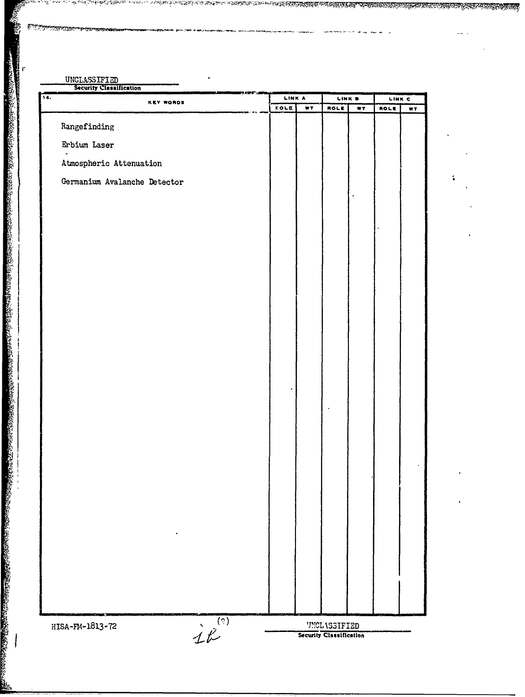| <b>KEY WORDS</b>                       | LINK A            | LINK B                         | LINK C     |
|----------------------------------------|-------------------|--------------------------------|------------|
|                                        | WT<br><b>ROLE</b> | <b>ROLE</b><br>$\overline{NT}$ | ROLE<br>WT |
| Rangefinding                           |                   |                                |            |
| Erbium Laser                           |                   |                                |            |
| Atmospheric Attenuation                |                   |                                |            |
| Germanium Avalanche Detector           |                   | $\ddot{\phantom{0}}$           |            |
|                                        |                   |                                |            |
|                                        |                   |                                |            |
|                                        |                   |                                |            |
|                                        |                   |                                |            |
|                                        |                   |                                |            |
|                                        |                   |                                |            |
|                                        |                   |                                |            |
|                                        |                   |                                |            |
|                                        |                   |                                |            |
|                                        |                   |                                |            |
|                                        |                   | $\ddot{\phantom{0}}$           |            |
|                                        |                   |                                |            |
|                                        |                   |                                |            |
|                                        |                   |                                |            |
|                                        |                   |                                |            |
|                                        |                   |                                |            |
|                                        |                   |                                |            |
|                                        |                   |                                |            |
|                                        |                   |                                |            |
|                                        |                   |                                |            |
| $i^{\frac{(2)}{1}}$<br>HISA-FM-1813-72 |                   | <b>UNCLASSIFIED</b>            |            |

inala 1950an 1960an - James Tildi - 1969an 1970an 1980an 1980an 1980an 1980an 1980an 1980an 1980an - Camarasan<br>Landa 1950an 1960an - James Tildi - 1980an 1980an 1980an 1980an 1980an 1980an 1980an 1980an 1980an - Camarasan

<u>nan ma</u>

UNI ON MARTIN VIISTEN MARKETTIIN VAN SENTIMET TIE VAN DIE STAANS VAN DIE STAATSTE SOOS ONG TAAL HAAR DIE VAN D

 $\bar{\mathcal{A}}$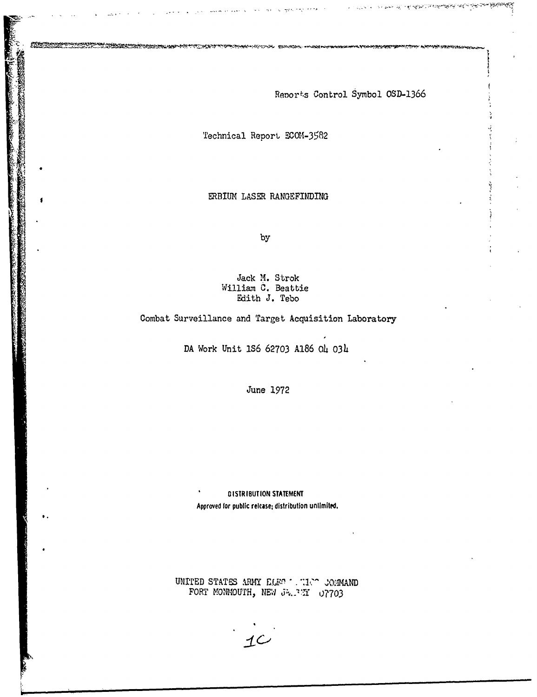Renorts Control Symbol OSD-1366

Technical Report **ECOM-3582**

**MASS** 

ERBIUM LASER RANGEFINDING

by

Jack M. Strok William C. Beattie Edith J. Tebo

Combat Surveillance and Target Acquisition Laboratory

DA Work Unit **IS6** 62703 A186 O4 **03h**

June 1972

DISTRIBUTION **STATEMENT** Approved **for** public release, distribution unlimited.

UNITED STATES ARMY *ELENAL TICAL JOBMAND* FORT MONMOUTH, NEW  $J^2/2X = 07703$ 

 $1$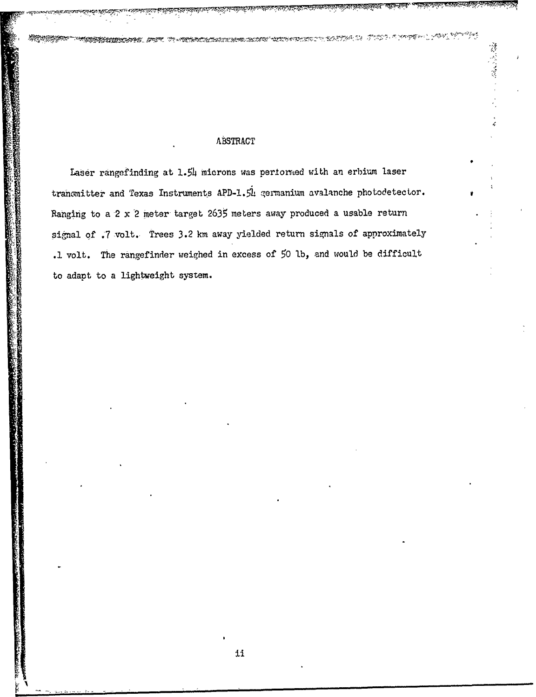### ABSTRACT

遵守堂

**MERINAN ARTIS** 

Laser rangefinding at 1.54 microns was pertormed with an erbium laser tranomitter and Texas Instruments APD-1.54 germanium avalanche photodetector. Ranging to a 2 x 2 meter target 2635 meters away produced a usable return signal of .7 volt. Trees 3.2 km away yielded return signals of approximately .1 volt. The rangefinder weighed in excess of 50 lb, and would be difficult to adapt to a lightweight system.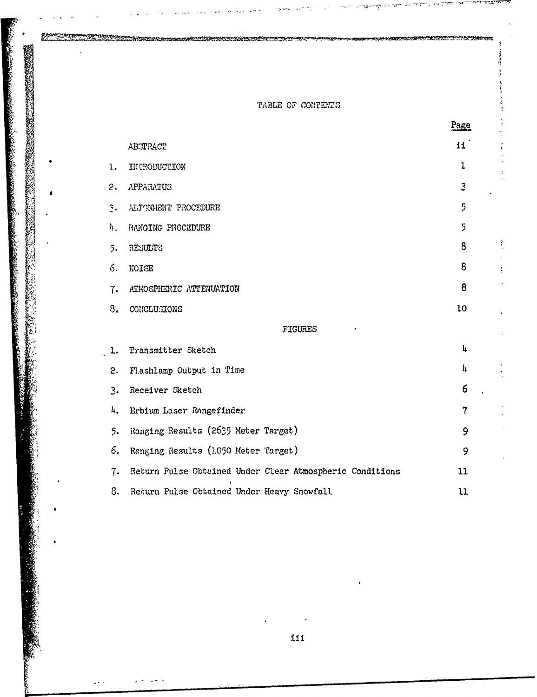TABLE OF CONTENTS

Ř

|              |                                                          | Page           |
|--------------|----------------------------------------------------------|----------------|
|              | ABCTRACT                                                 | 11             |
| 1.           | INTRODUCTION                                             | ı              |
| $\hat{z}$    | APPARATUS                                                | 3              |
| $\mathbf{R}$ | ALJAMMENT PROCEDURE                                      | 5              |
| 4.           | RANGING PROCEDURE                                        | 5              |
| 5.           | RESULTS                                                  | 8              |
| 6.           | NOISE                                                    | 8              |
| 7.           | ATMOSPHERIC ATTENUATION                                  | 8              |
| 8.           | CONCLUSIONS                                              | 10             |
|              | FIGURES                                                  |                |
| ı.           | Transmitter Sketch                                       | 4              |
| 2.           | Flashlamp Output in Time                                 | 4              |
| 3.           | Receiver Sketch                                          | 6              |
| 4.           | Erbium Laser Rangefinder                                 | $\overline{7}$ |
| 5.           | Ranging Results (2635 Meter Target)                      | 9              |
| 6.           | Ranging Results (1050 Meter Target)                      | 9              |
| 7.           | Return Pulse Obtained Under Clear Atmospheric Conditions | 11             |
| 8.           | Return Pulse Obtained Under Heavy Snowfall               | 11             |

iii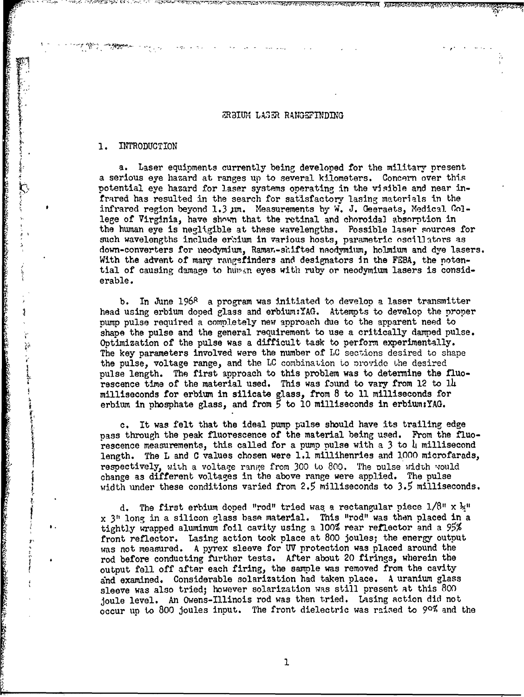#### *RBIUM LASER RANGEFINDING*

#### **1.** INTRODUCTION

ţ

ON THE CONTRACT OF THE CONTRACT OF THE CONTRACT OF THE CONTRACT OF THE CONTRACT OF THE CONTRACT OF THE CONTRACT OF THE CONTRACT OF THE CONTRACT OF THE CONTRACT OF THE CONTRACT OF THE CONTRACT OF THE CONTRACT OF THE CONTRAC

a. Laser equipments currently being developed for the military present a serious eye hazard at ranges up to several kilometers. Concern over this potential eye hazard for laser systems operating in the visible and near infrared has resulted in the search for satisfactory lasing materials in the infrared region beyond 1.3 pm. Measurements by W. J. Geeraets, Medical. College of Virginia, have shown that the retinal and choroidal absorption in the human eye is negligible at these wavelengths. Possible laser sources for such wavelengths include erbium in various hosts, parametric oscillators as down-converters for neodymium, Ramar.-shifted neodymium, holmium and dye lasers. With the advent of mary rangsfinders and designators in the FEBA, the potential of causing damage to human eyes with ruby or neodymium lasers is considerable.

b. In June  $196^{\circ}$  a program was initiated to develop a laser transmitter head using erbium doped glass and erbium:YAG. Attempts to develop the proper pump pulse required a completely new approach due to the apparent need to shape the pulse and the general requirement to use a critically damped pulse. Optimization of the pulse was a difficult task to perform experimentally. The key parameters involved were the number of LC sections desired to shape the pulse, voltage range, and the LC combination to provido uhe desired pulse length. The first approach to this problem was to determine the fluorescence time of the material used. This was found to vary from 12 to 14 milliseconds for erbium in silicate glass, from 8 to **11** milliseconds for erbium in phosphate glass, and from **5** to **10** milliseconds in erbium:YAG.

It was felt that the ideal pump pulse should have its trailing edge pass through the peak fluorescence of the material being used. From the fluorescence measurements, this called for a pump pulse with a 3 to 4 millisecond length. The L and C values chosen were 1.1 millihenries and **,000** microfarads, respectively, with a voltage range from 300 to 800. The pulse width would change as different voltages in the above range were applied. The pulse width under these conditions varied from **2.5** milliseconds to **3.5** milliseconds.

d. The first erbium doped "rod" tried was. a rectangular piece 1/8" x **ý,** x **311** long in a silicon glass base material. This "rod" was then placed in a tightly wrapped aluminum foil cavity using a **100%** rear reflector and a **95%** front reflector. Lasing action took place at 800 joules; the energy output was not measured. A pyrex sleeve for UV protection was placed around the rod before conducting further tests. After about 20 firings, wherein the output fell off after each firing, the sample was removed from the cavity and examined. Considerable solarization had taken place. A uranium glass sleeve was also tried; however solarization was still present at this 800 joule level. An Owens-Illinois rod was then tried. Lasing action did not occur up to 800 joules input. The front dielectric was raised to 90% and the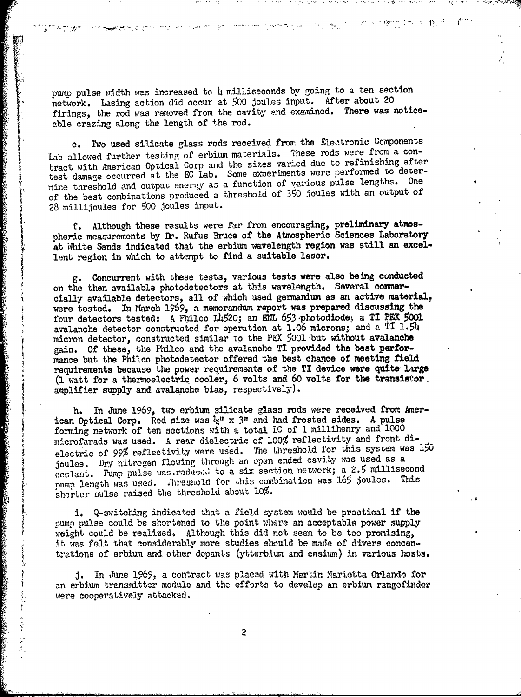pump pulse width was increased to 4 milliseconds by going to a ten section network. Lasing action did occur at 500 joules input. After about 20 firings, the rod was removed from the cavity and examined. There was noticeable crazing along the length of the rod.

 $\sigma$  ,  $\Delta\sigma^2$ 

an milia ya kat

化燃化 化水 我们

e. Two used silicate glass rods received from the Electronic Components Lab allowed further testing of erbium materials. These rods were from a contract with American Optical Corp and the sizes varied due to refinishing after test damage occurred at the EC Lab. Some experiments were performed to determine threshold and output energy as a function of various pulse lengths. One of the best combinations produced a threshold of **350** joules with an output of 28 millijoules for 500 joules input.

**f.** Although these results were far from encouraging, preliminary atmospheric measurements by **Dr.** Rufus Bruce of the Atmospheric Sciences Laboratory at White Sands indicated that the erbium wavelength region was still an excellent region in which to attempt to find a suitable laser.

g. Concurrent with these tests, various tests were also being conducted on the then available photodetectors at this wavelength. Several commercially available detectors, all of which used germanium as an active material, were tested. In March 1969, a memorandum report was prepared discussing the four detectors tested: A Philco Lh520; an **ENL** 653 ,photodiodej a TI PEX 5001 avalanche detector constructed for operation at 1.06 microns; and a TI 1.54 micron detector, constructed similar to the PEI 5001 but without avalanche gain. Of these, the Philco and the avalanche TI provided the best performance but the Philco photodetector offered the best chance of meeting **field** requirements because the power requirements of the TI device were quite, large **(1** -watt for a thermoelectric cooler, **6** volts and 60 volts for the transisf:or. amplifier supply and avalanche bias, respectively).

などのから、そのように、そのように、そのように、そのように、そのように、そのように、そのように、そのように、そのように、そのように、そのように、そのように、そのように、そのように、そのように、そのよう

SANTONIA PROPERTY

 $\frac{5}{3}$  $\frac{1}{2} \sum_{i=1}^{n} \frac{1}{2} \sum_{j=1}^{n} \frac{1}{2} \sum_{j=1}^{n} \frac{1}{2} \sum_{j=1}^{n} \frac{1}{2} \sum_{j=1}^{n} \frac{1}{2} \sum_{j=1}^{n} \frac{1}{2} \sum_{j=1}^{n} \frac{1}{2} \sum_{j=1}^{n} \frac{1}{2} \sum_{j=1}^{n} \frac{1}{2} \sum_{j=1}^{n} \frac{1}{2} \sum_{j=1}^{n} \frac{1}{2} \sum_{j=1}^{n} \frac{1}{2} \sum_{j=1}^{n$ 

h. In June 1969, two erbium silicate glass rods were received from American Optical Corp. Rod size was  $\frac{1}{2}$ " x 3" and had frosted sides. A pulse forming network of ten sections with a total LC of **1** millihenry and 1000 microfarads was used. A rear dielectric of 100% reflectivity and front dielectric of 99% reflectivity were used. The threshold for this system was 150 joules. Dry nitrogen flowing through an open ended cavity was used as a coolant. Pump pulse was reduced to a six section network; a 2.5 millisecond [ pump length was used. ihresnold for ýhis combination was **165** joules. This shorter pulse raised the threshold about 10%.

i. Q-switching indicated that a field system would be practical if the pump pulse could be shortened to the point where an acceptable power supply weight could be realized. Although this did not seem to be too promising, it was felt that considerably more studies should be made of divers concentrations of erbium and other dopants (ytterbium and cesium) in various hosts.

J. in June **1969,** a contract was placed with Martin Marietta Orlando for an erbium transmitter module and the efforts to develop an erbium rangefinder were cooperatively attacked.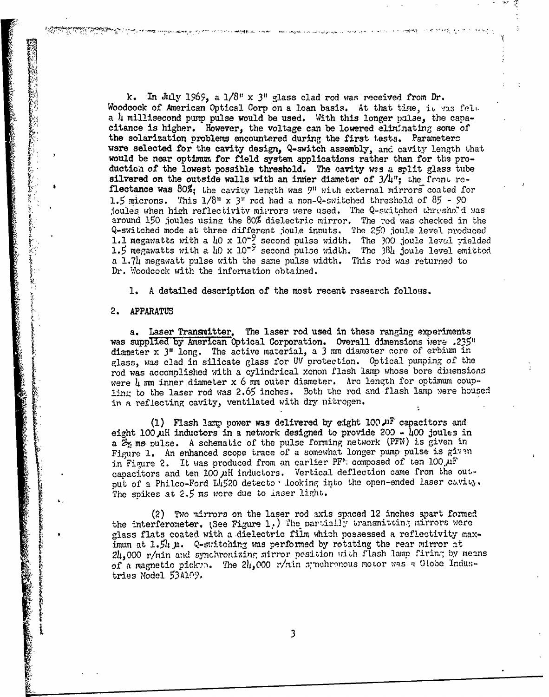k. In July 1969, a  $1/8$ " x 3" glass clad rod was received from Dr. Woodcock of American Optical Corp on a loan basis. At that time, it was felt a 4 millisecond pump pulse would be used. With this longer palse, the capacitance is higher. However, the voltage can be lowered eliminating some of the solarization problems encountered during the first tests. Parameters ware selected for the cavity design, Q-switch assembly, and cavity length that would be near optimum for field system applications rather than for the production of the lowest possible threshold. The ,;avity *ws.s* a split glass tube silvered on the outside walls with an inner diameter of 3A/"; Lhe front *re*flectance was 80%; the cavity length was 9" wiuh external mirrors coated for 1.5 microns. This  $1/8$ <sup>"</sup> x 3<sup>"</sup> red had a non-Q-switched threshold of  $85$  - 90 joules when high reflectivitv mirrors were used. The Q-switched threshold was around 150 joules using the 80% dielectric mirror. The rod was checked in the Q-switched mode at three different joule innuts. The **250** joule level produced 1.1 megawat ts with a **40** x **10-9** second pulse width. The 300 joule level yielded 1.5 megawatts with a 40 x **10-"-** second pulse width. The **'38h** joule level emitted a 1.74 megawatt pulse with the same pulse width. This rod was returned to Dr. Woodcock with the information obtained.

**Black Allegraph in the country age of the Contract Contract** 

Sister and later as a manager

**1.** A detailed description of the most recent research follows.

#### 2. APPARATUS

**SERVERAL AND STATE OF A SERVERAL AND A SERVERAL STATE OF A SERVERAL STATE OF A SERVERAL STATE OF A SERVERAL S** 

.<br>Af fæ<mark>g</mark>,

a. Laser Transmitter. The laser rod used in these ranging experiments was supplied by American Optical Corporation. Overall dimensions were .235" diameter x 3" long. The active material, a 3 mm diameter core of erbium in glass, was clad in silicate glass for UV protection. Optical pumping of the rod was accomplished with a cylindrical xenon flash lamp whose bore dimensions were  $\mu$  mm inner diameter x 6 mm outer diameter. Arc length for optimum coupling to the laser rod was 2.65 inches. Both the rod and flash lamp were housed in a reflecting cavity, ventilated with dry nitrogen.

**(1)** Flash !axp power was delivered by eight 100,11F capacitors and eight 100  $\mu$ H inductors in a network designed to provide 200  $-$  400 joules in a  $2<sub>2</sub>$  ms pulse. A schematic of the pulse forming network (PFN) is given in Figure 1. An enhanced scope trace of a somewhat longer pump pulse is given in Figure 2. It was produced from an earlier PF' composed of ten  $100 \mu$ F capacitors and ten 100 µH inductors. Vertical deflection came from the output of a Philco-Ford L4520 detecto · looking into the open-ended laser cavity. The spikes at 2.5 ms were due to haser light.

(2) Two \*irrors on the laser rod axis spaced 12 inches apart formed the interferometer. (See Figure 1.) The partially transmitting mirrors were glass flats coated with a dielectric film which possessed a reflectivity maximum at 1.54  $\mu$ . Q-switching was performed by rotating the rear mirror at 24,000 r/min and synchronizing mirror position uith flash lamp firing by means of a magnetic pickyn. The 24,000 r/min symchronous motor was a Globe Industries Model 53Al<sup>oy</sup>.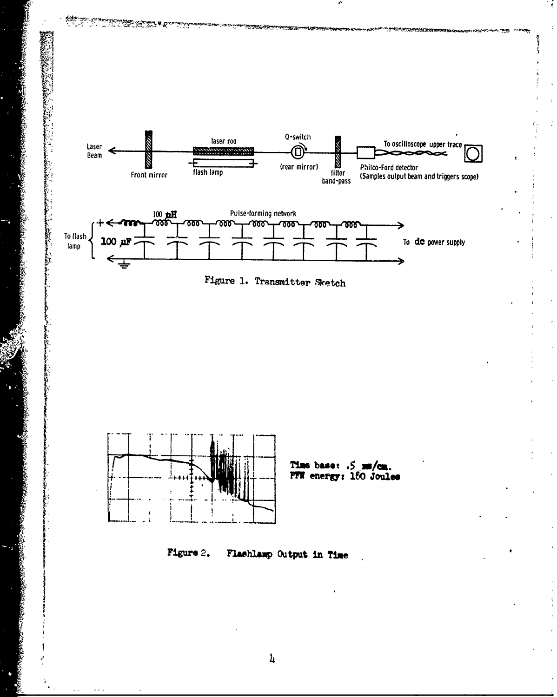

 $\pmb{\mathit{h}}$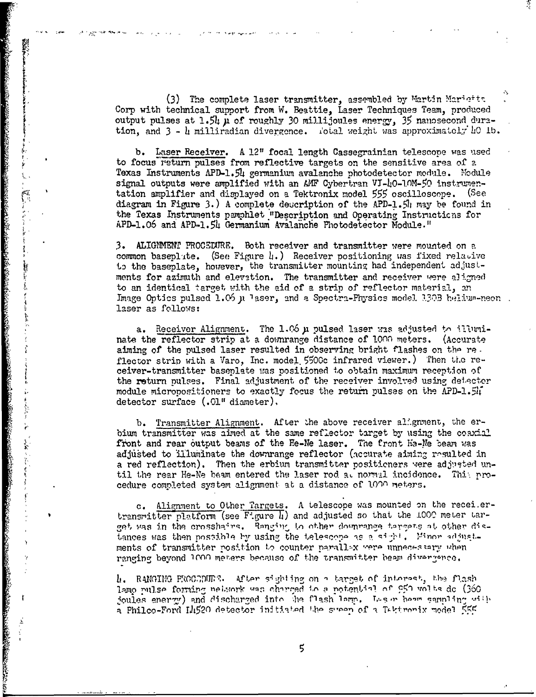(3) The complete laser transmitter, assembled by Martin Marietts. Corp with technical support from W. Beattie, Laser Techniques Team, produced output pulses at 1.54  $\mu$  of roughly 30 millijoules energy, 35 nanosecond duration, and 3 - l milliradian divergence. iotal weight **'b.** was approximately **bo** 

**(+**

Y

b. Laser Receiver. A 12" focal length Cassegrainian telescope was *used* to focus return pulses from reflective targets on the sensitive area of a Texas Instruments APD-1.5h germanium avalanche photodetector module. 'Module signal outputs were amplified with an AMF Cybertran VI-40-10M-50 instrumentation amplifier and displayed on a Tektronix model **555** oscilloscope. (See diagram in Figure 3.) A complete description of the APD-1.5 $\parallel$  may be found in the Texas Instruments pamphlet "Description and Operating Instructions for APD-1.06 and APD-1.54 Germanium Avalanche Photodetector Module."

3. ALIGNMENT PROCELURE. Both receiver and transmitter were mounted on a common baseplate. (See Figure  $\mu$ .) Receiver positioning was fixed relative to the baseplate, however, the transmitter mounting had independent adjustments for azimuth and elevation. The transmitter and receiver were aligned to an identical target with the aid of a strip of reflector material, an Image Optics pulsed 1.06 **µ** laser, and a Spectra-Physics model 130B helium-neon. laser as follows:

a. Receiver Alignment. The 1.06  $\mu$  pulsed laser was adjusted to illuminate the reflector strip at a downrange distance of 1000 meters. (Accurate aiming of the pulsed laser resulted in observing bright flashes on the re. flector strip with a Varo, Inc. model 5500c infrared viewer.) Then the receiver-transmitter baseplate was positioned to obtain maximum reception of the return pulses. Final adjustment of the receiver involved using detector module micropositioners to exactly focus the return pulses on the APD-1. $5\mathbf{h}$ detector surface (.01" diameter),

b. Transmitter Alignment. After the above receiver alignment, the erbium transmitter was aimed at the same reflector target by using the coaxial front and rear 6utput beams of the Fe-Ne laser. The front He-Ne *beam* was adjusted to illuminate the downrange reflector (accurate aiming resulted in a red reflection). Then the erbium transmitter positioners were adjusted until the rear He-Ne beam entered the laser rod al normal incidence. This procedure completed system alignment at a distance of **101-1** meters.

c. Aligment to Other Targets. A telescooe was mounted on the recei.ertransmitter platform (see Figure 4) and adjusted so that the 1000 meter target was in the crosshairs. Ranging to other downrange targets at other distances was then possible by using the telescope as a sight. Minor adjustments of transmitter position to counter parallex were unnecessary when ranging beyond 1000 meters because of the transmitter beam divergence.

L.RkNGTHG 0CrG-D1JR'h, AJ'tpr s4~ So **-'** t-arcge or Itr~nr~c~ti, **Ihh'-** flasri1 lamo pulse forming nebuork was charged in a potential of  $950$  volts de (360 ioules enerzy) and discharged into the flash lamp. Les reheave sampling with a Philco-Ford Ili520 detector initiated the sysen of a Tektronix model 555

5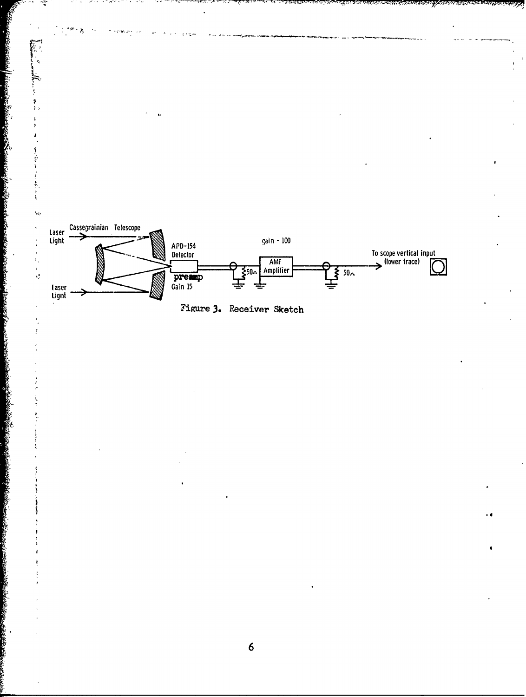

 $\boldsymbol{6}$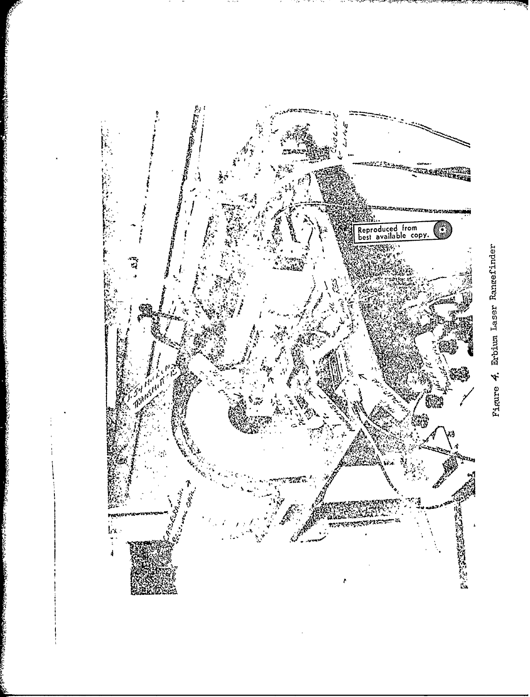

Figure 4. Erbium Laser Rangefinder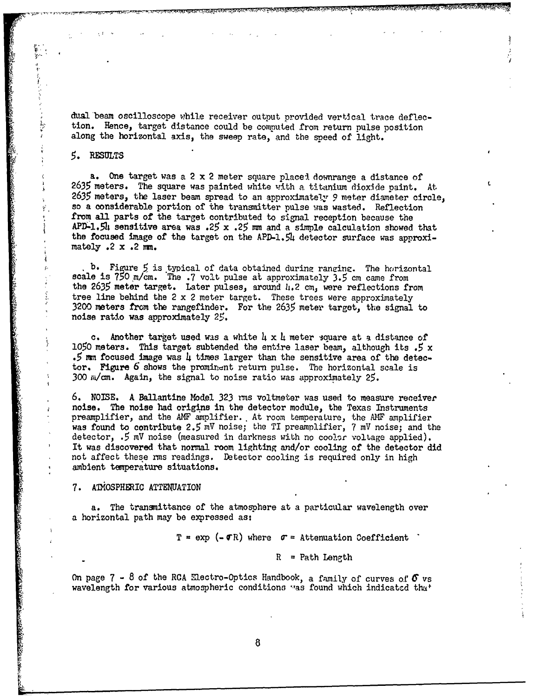dual beam oscilloscope while receiver output provided vertical. trace deflection. Hence, target distance could be computed from return pulse position along the horizontal axis, the sweep rate, and the speed of light.

#### **5.** RESULTS

a. One target was a 2 x 2 meter square placel downrange a distance of **2635** meters. The square was painted white with a titanium dioxide paint. At, **2635** meters, the laser beam spread to an approximately 9 meter diameter circle, so a considerable portion of the transmitter pulse was wasted. Reflection from all parts of the target contributed to signal reception because the APD-1.54 sensitive area was .25 x .25 mm and a simple calculation showed that the focused image of the target on the APD-l.54 detector surface was approximately  $.2 \times .2 \text{ mm}$ .

b. Figure 5 is typical of data obtained during ranging. The horizontal scale is 750 m/cm. The .7 volt pulse at approximately 3.5 cm came from the 2635 meter target. Later pulses, around 4.2 cm, were reflections from tree line behind the 2 x 2 meter target. These trees were approximately 3200 meters from the rangefinder. For the 2635 meter target, the signal to noise ratio was approximately 25.

c. Another target used was a white  $\mu \times \mu$  meter square at a distance of **<sup>1050</sup>**meters. This target subtended the entire laser beam, although its *.5* x .5 mm focused image was 4 times larger than the sensitive area of the detector. Figure **6** shows the prominent return pulse. The horizontal scale is 300  $\mu$ /cm. Again, the signal to noise ratio was approximately 25.

6. NOISE. A Ballantine Model 323 rms voltmeter was used to measure receiver noise. The noise had origins in the detector module, the Texas Instruments preamplifier, and the AMF amplifier. At room temperature, the AMF amplifier was found to contribute 2.5 mV noise; the TI preamplifier, 7 mV noise; and the detector, .5 mV noise (measured in darkness with no coolar voltage applied). It was discovered that normal room lighting and/or cooling of the detector did not affect these rms readings. Detector cooling is required only in high ambient temperature situations.

#### 7. ATMOSPHERIC ATTENUATION

**ことをある おんだい あんだん** 

a. The transmittance of the atmosphere at a particular wavelength over a horizontal path may be expressed as:

 $T = exp (- \sigma R)$  where  $\sigma =$  Attenuation Coefficient

 $R = Path Length$ 

On page  $7 - 8$  of the RCA Electro-Optics Handbook, a family of curves of  $\sigma$  vs wavelength for various atmospheric conditions was found which indicated that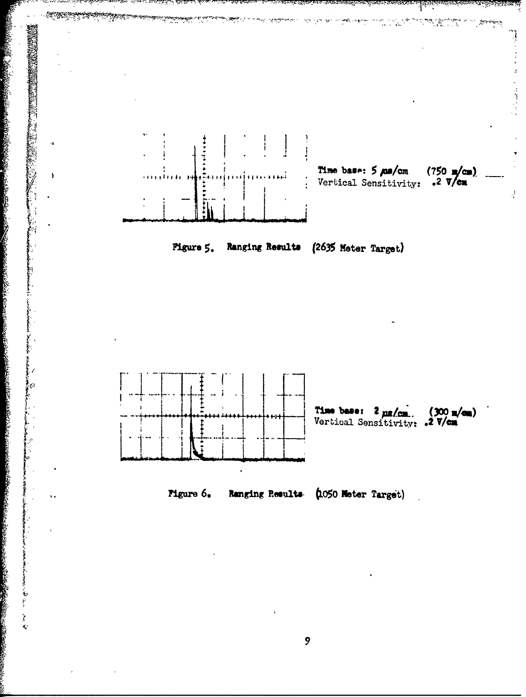

Ş.

**SOLUTION SECTION AND** 

 $\hat{\mathbf{r}}$  $\ell_{\rm s}$   $\mathbb{T}^{\text{max}}$ 

Port of

 $\mathbf{9}$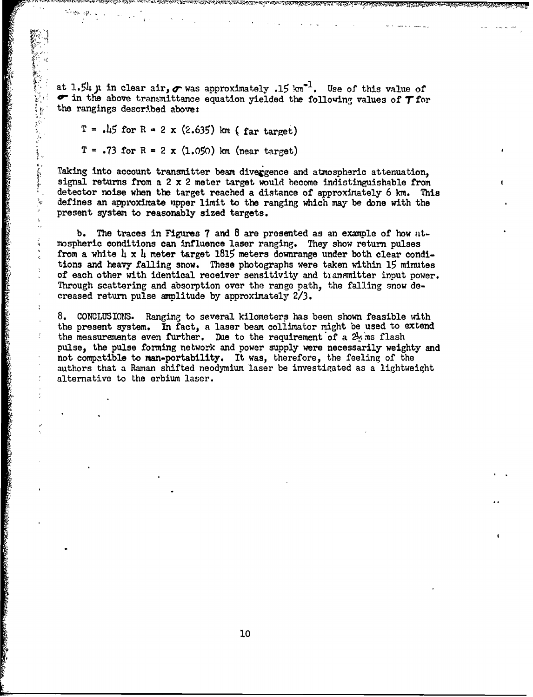at 1.54  $\mu$  in clear air,  $\sigma$  was approximately .15  $km^{-1}$ . Use of this value of  $\sigma$  in the above transmittance equation yielded the following values of  $\tau$  for the rangings described above:

 $T = 15$  for R = 2 x (2.635) km (far target)

 $T = .73$  for  $R = 2 \times (1.050)$  km (near target)

Taking into account transmitter beam divergence and atmospheric attenuation, signal returns from a 2 x 2 meter target would become indistinguishable from detector noise when the target reached a distance of approximately 6 **km.** This defines an approximate upper limit to the ranging which may be done with the present system to reasonably sized targets.

b. The traces in Figures 7 and 8 are presented as an example of how atmospheric conditions can influence laser ranging. They show return pulses from a white  $\mu \times \mu$  meter target 1815 meters downrange under both clear conditions and heavy falling snow. These photographs were taken within **15** minutes of each other with identical receiver sensitivity and transmitter input power. Through scattering and absorption over the range path, the falling snow de at 1.5i,  $\mu$  in clear air,  $\sigma$  was approximately .15 :m<sup>-1</sup><br>the number interaction of the form and two terms of the amplitude the form and the solution of the second terms with  $\tau = 2 \times (2.655)$  km (far target)<br> $T = .73$  f

**8. CONCLUSIONS.** Ranging to several kilometers has been shown feasible with the present system. In fact, a laser beam collimator might be used to extend the measurements even further. Due to the requirement of a  $2\frac{1}{3}$  ms flash pulse, the pulse forming network and power supply were necessarily weighty and not compatible to man-portability. It was, therefore, the feeling of the authors that a Raman shifted neodymium laser be investigated as a lightweight alternative to the erbium laser.